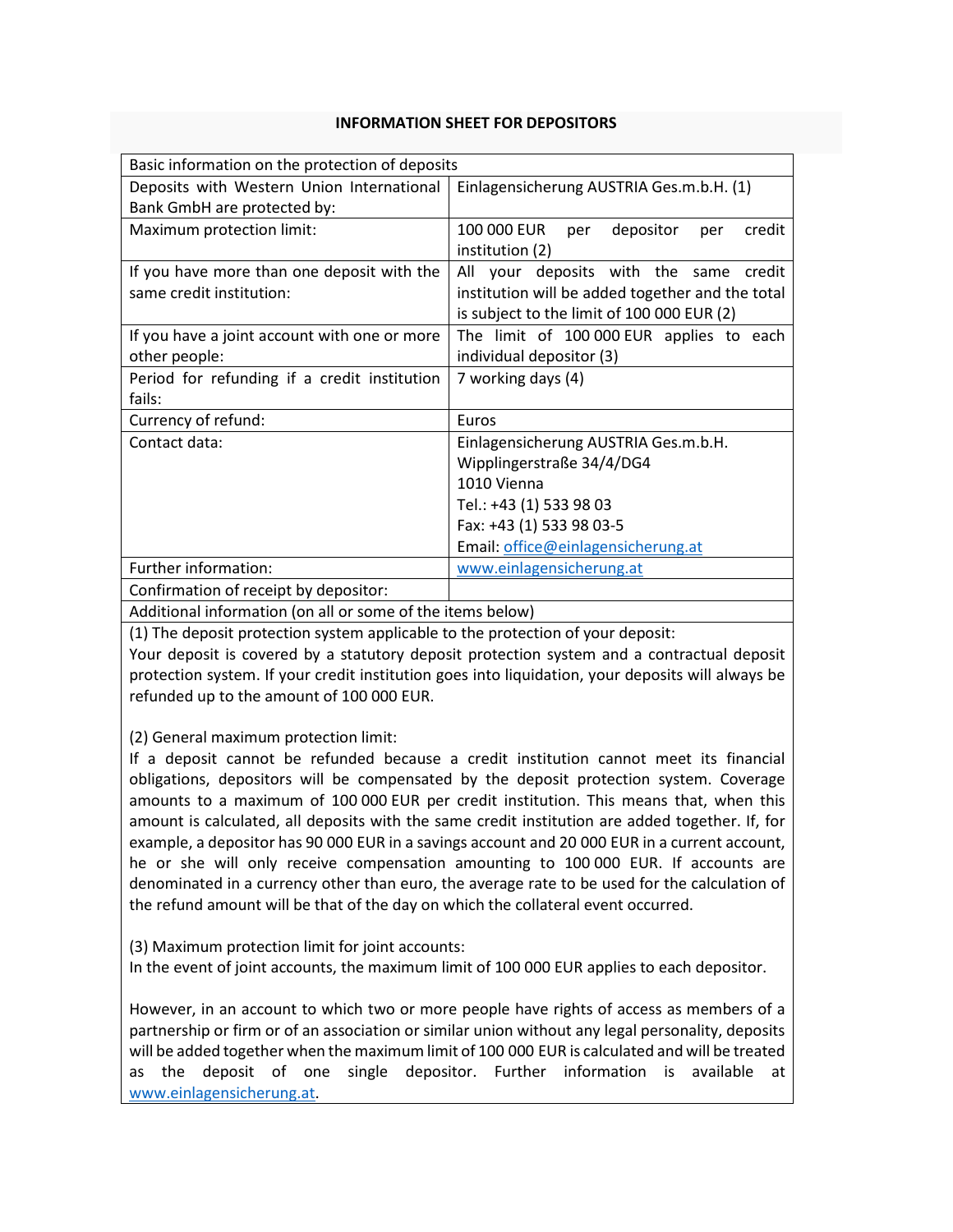## **INFORMATION SHEET FOR DEPOSITORS**

| Basic information on the protection of deposits |                                                  |
|-------------------------------------------------|--------------------------------------------------|
| Deposits with Western Union International       | Einlagensicherung AUSTRIA Ges.m.b.H. (1)         |
| Bank GmbH are protected by:                     |                                                  |
| Maximum protection limit:                       | 100 000 EUR<br>depositor<br>credit<br>per<br>per |
|                                                 | institution (2)                                  |
| If you have more than one deposit with the      | All your deposits with the same<br>credit        |
| same credit institution:                        | institution will be added together and the total |
|                                                 | is subject to the limit of 100 000 EUR (2)       |
| If you have a joint account with one or more    | The limit of 100 000 EUR applies to each         |
| other people:                                   | individual depositor (3)                         |
| Period for refunding if a credit institution    | 7 working days (4)                               |
| fails:                                          |                                                  |
| Currency of refund:                             | Euros                                            |
| Contact data:                                   | Einlagensicherung AUSTRIA Ges.m.b.H.             |
|                                                 | Wipplingerstraße 34/4/DG4                        |
|                                                 | 1010 Vienna                                      |
|                                                 | Tel.: +43 (1) 533 98 03                          |
|                                                 | Fax: +43 (1) 533 98 03-5                         |
|                                                 | Email: office@einlagensicherung.at               |
| Further information:                            | www.einlagensicherung.at                         |
| Confirmation of receipt by depositor:           |                                                  |
|                                                 |                                                  |

Additional information (on all or some of the items below)

(1) The deposit protection system applicable to the protection of your deposit:

Your deposit is covered by a statutory deposit protection system and a contractual deposit protection system. If your credit institution goes into liquidation, your deposits will always be refunded up to the amount of 100 000 EUR.

(2) General maximum protection limit:

If a deposit cannot be refunded because a credit institution cannot meet its financial obligations, depositors will be compensated by the deposit protection system. Coverage amounts to a maximum of 100 000 EUR per credit institution. This means that, when this amount is calculated, all deposits with the same credit institution are added together. If, for example, a depositor has 90 000 EUR in a savings account and 20 000 EUR in a current account, he or she will only receive compensation amounting to 100 000 EUR. If accounts are denominated in a currency other than euro, the average rate to be used for the calculation of the refund amount will be that of the day on which the collateral event occurred.

(3) Maximum protection limit for joint accounts:

In the event of joint accounts, the maximum limit of 100 000 EUR applies to each depositor.

However, in an account to which two or more people have rights of access as members of a partnership or firm or of an association or similar union without any legal personality, deposits will be added together when the maximum limit of 100 000 EUR is calculated and will be treated as the deposit of one single depositor. Further information is available at www.einlagensicherung.at.